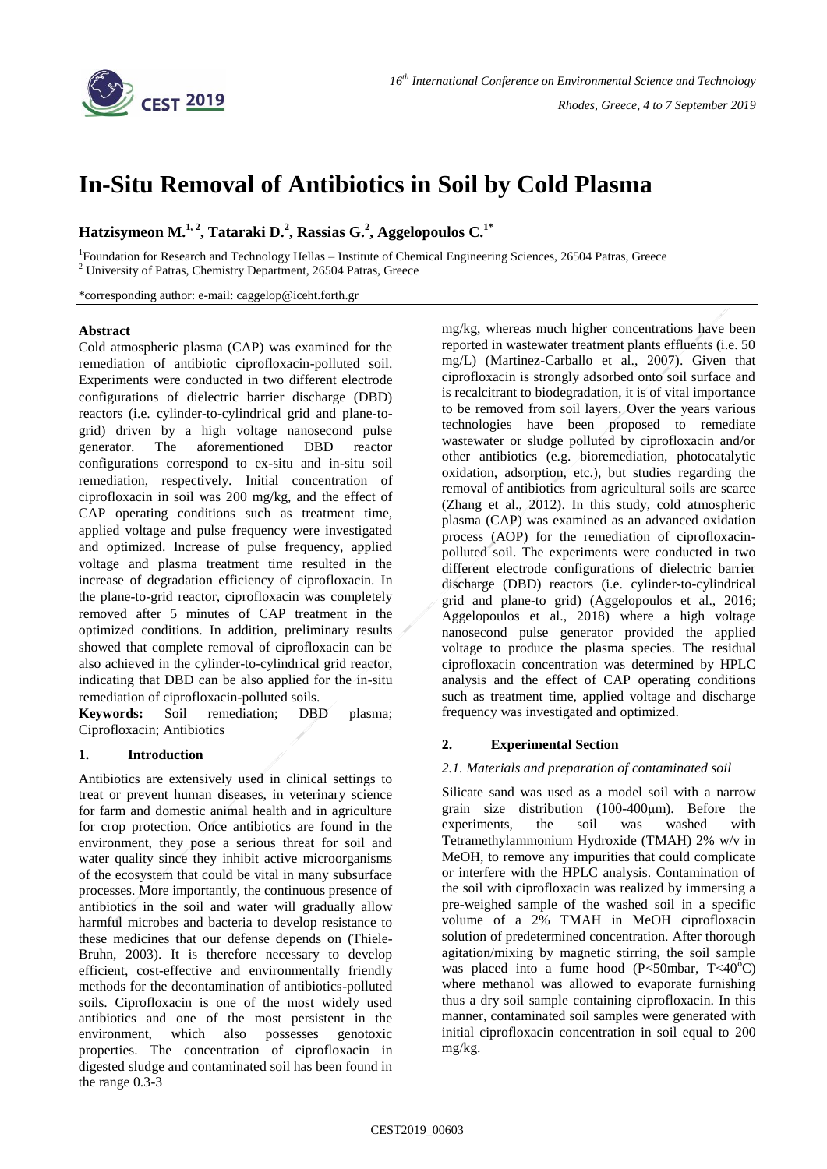

# **In-Situ Removal of Antibiotics in Soil by Cold Plasma**

**Hatzisymeon M.1, <sup>2</sup> , Tataraki D.<sup>2</sup> , Rassias G.<sup>2</sup> , Aggelopoulos C.1\***

<sup>1</sup>Foundation for Research and Technology Hellas - Institute of Chemical Engineering Sciences, 26504 Patras, Greece <sup>2</sup> University of Patras, Chemistry Department, 26504 Patras, Greece

\*corresponding author: e-mail: caggelop@iceht.forth.gr

#### **Abstract**

Cold atmospheric plasma (CAP) was examined for the remediation of antibiotic ciprofloxacin-polluted soil. Experiments were conducted in two different electrode configurations of dielectric barrier discharge (DBD) reactors (i.e. cylinder-to-cylindrical grid and plane-togrid) driven by a high voltage nanosecond pulse generator. The aforementioned DBD reactor configurations correspond to ex-situ and in-situ soil remediation, respectively. Initial concentration of ciprofloxacin in soil was 200 mg/kg, and the effect of CAP operating conditions such as treatment time, applied voltage and pulse frequency were investigated and optimized. Increase of pulse frequency, applied voltage and plasma treatment time resulted in the increase of degradation efficiency of ciprofloxacin. In the plane-to-grid reactor, ciprofloxacin was completely removed after 5 minutes of CAP treatment in the optimized conditions. In addition, preliminary results showed that complete removal of ciprofloxacin can be also achieved in the cylinder-to-cylindrical grid reactor, indicating that DBD can be also applied for the in-situ remediation of ciprofloxacin-polluted soils.

**Keywords:** Soil remediation; DBD plasma; Ciprofloxacin; Antibiotics

#### **1. Introduction**

Antibiotics are extensively used in clinical settings to treat or prevent human diseases, in veterinary science for farm and domestic animal health and in agriculture for crop protection. Once antibiotics are found in the environment, they pose a serious threat for soil and water quality since they inhibit active microorganisms of the ecosystem that could be vital in many subsurface processes. More importantly, the continuous presence of antibiotics in the soil and water will gradually allow harmful microbes and bacteria to develop resistance to these medicines that our defense depends on (Thiele-Bruhn, 2003). It is therefore necessary to develop efficient, cost-effective and environmentally friendly methods for the decontamination of antibiotics-polluted soils. Ciprofloxacin is one of the most widely used antibiotics and one of the most persistent in the environment, which also possesses genotoxic properties. The concentration of ciprofloxacin in digested sludge and contaminated soil has been found in the range 0.3-3

mg/kg, whereas much higher concentrations have been reported in wastewater treatment plants effluents (i.e. 50 mg/L) (Martinez-Carballo et al., 2007). Given that ciprofloxacin is strongly adsorbed onto soil surface and is recalcitrant to biodegradation, it is of vital importance to be removed from soil layers. Over the years various technologies have been proposed to remediate wastewater or sludge polluted by ciprofloxacin and/or other antibiotics (e.g. bioremediation, photocatalytic oxidation, adsorption, etc.), but studies regarding the removal of antibiotics from agricultural soils are scarce (Zhang et al., 2012). In this study, cold atmospheric plasma (CAP) was examined as an advanced oxidation process (AOP) for the remediation of ciprofloxacinpolluted soil. The experiments were conducted in two different electrode configurations of dielectric barrier discharge (DBD) reactors (i.e. cylinder-to-cylindrical grid and plane-to grid) (Aggelopoulos et al., 2016; Aggelopoulos et al., 2018) where a high voltage nanosecond pulse generator provided the applied voltage to produce the plasma species. The residual ciprofloxacin concentration was determined by HPLC analysis and the effect of CAP operating conditions such as treatment time, applied voltage and discharge frequency was investigated and optimized.

## **2. Experimental Section**

#### *2.1. Materials and preparation of contaminated soil*

Silicate sand was used as a model soil with a narrow grain size distribution (100-400μm). Before the experiments, the soil was washed with Tetramethylammonium Hydroxide (TMAH) 2% w/v in MeOH, to remove any impurities that could complicate or interfere with the HPLC analysis. Contamination of the soil with ciprofloxacin was realized by immersing a pre-weighed sample of the washed soil in a specific volume of a 2% TMAH in MeOH ciprofloxacin solution of predetermined concentration. After thorough agitation/mixing by magnetic stirring, the soil sample was placed into a fume hood  $(P<50mbar, T<40°C)$ where methanol was allowed to evaporate furnishing thus a dry soil sample containing ciprofloxacin. In this manner, contaminated soil samples were generated with initial ciprofloxacin concentration in soil equal to 200 mg/kg.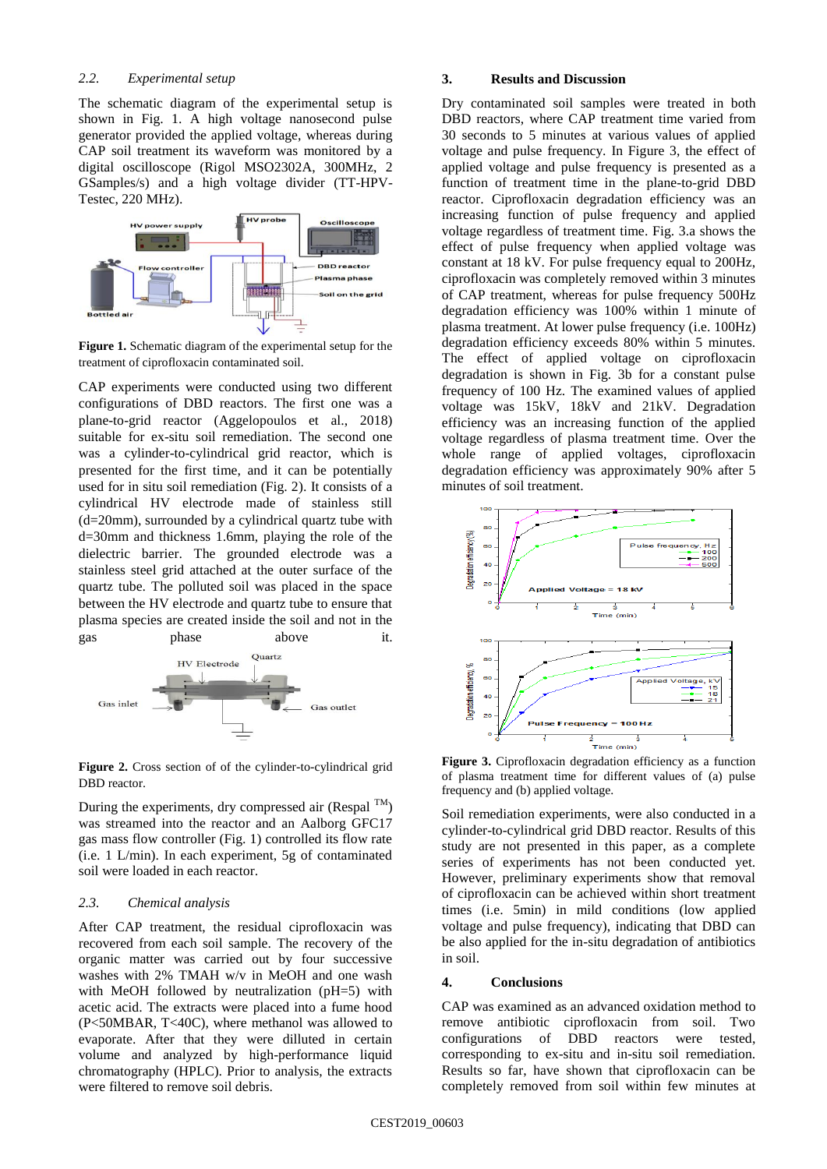#### *2.2. Experimental setup*

The schematic diagram of the experimental setup is shown in Fig. 1. A high voltage nanosecond pulse generator provided the applied voltage, whereas during CAP soil treatment its waveform was monitored by a digital oscilloscope (Rigol MSO2302A, 300MHz, 2 GSamples/s) and a high voltage divider (TT-HPV-Testec, 220 MHz).



**Figure 1.** Schematic diagram of the experimental setup for the treatment of ciprofloxacin contaminated soil.

CAP experiments were conducted using two different configurations of DBD reactors. The first one was a plane-to-grid reactor (Aggelopoulos et al., 2018) suitable for ex-situ soil remediation. The second one was a cylinder-to-cylindrical grid reactor, which is presented for the first time, and it can be potentially used for in situ soil remediation (Fig. 2). It consists of a cylindrical HV electrode made of stainless still (d=20mm), surrounded by a cylindrical quartz tube with d=30mm and thickness 1.6mm, playing the role of the dielectric barrier. The grounded electrode was a stainless steel grid attached at the outer surface of the quartz tube. The polluted soil was placed in the space between the HV electrode and quartz tube to ensure that plasma species are created inside the soil and not in the gas phase above it.



**Figure 2.** Cross section of of the cylinder-to-cylindrical grid DBD reactor.

During the experiments, dry compressed air (Respal  $^{TM}$ ) was streamed into the reactor and an Aalborg GFC17 gas mass flow controller (Fig. 1) controlled its flow rate (i.e. 1 L/min). In each experiment, 5g of contaminated soil were loaded in each reactor.

#### *2.3. Chemical analysis*

After CAP treatment, the residual ciprofloxacin was recovered from each soil sample. The recovery of the organic matter was carried out by four successive washes with 2% TMAH w/v in MeOH and one wash with MeOH followed by neutralization (pH=5) with acetic acid. The extracts were placed into a fume hood (P<50MBAR, T<40C), where methanol was allowed to evaporate. After that they were dilluted in certain volume and analyzed by high-performance liquid chromatography (HPLC). Prior to analysis, the extracts were filtered to remove soil debris.

### **3. Results and Discussion**

Dry contaminated soil samples were treated in both DBD reactors, where CAP treatment time varied from 30 seconds to 5 minutes at various values of applied voltage and pulse frequency. In Figure 3, the effect of applied voltage and pulse frequency is presented as a function of treatment time in the plane-to-grid DBD reactor. Ciprofloxacin degradation efficiency was an increasing function of pulse frequency and applied voltage regardless of treatment time. Fig. 3.a shows the effect of pulse frequency when applied voltage was constant at 18 kV. For pulse frequency equal to 200Hz, ciprofloxacin was completely removed within 3 minutes of CAP treatment, whereas for pulse frequency 500Hz degradation efficiency was 100% within 1 minute of plasma treatment. At lower pulse frequency (i.e. 100Hz) degradation efficiency exceeds 80% within 5 minutes. The effect of applied voltage on ciprofloxacin degradation is shown in Fig. 3b for a constant pulse frequency of 100 Hz. The examined values of applied voltage was 15kV, 18kV and 21kV. Degradation efficiency was an increasing function of the applied voltage regardless of plasma treatment time. Over the whole range of applied voltages, ciprofloxacin degradation efficiency was approximately 90% after 5 minutes of soil treatment.



Figure 3. Ciprofloxacin degradation efficiency as a function of plasma treatment time for different values of (a) pulse frequency and (b) applied voltage.

Soil remediation experiments, were also conducted in a cylinder-to-cylindrical grid DBD reactor. Results of this study are not presented in this paper, as a complete series of experiments has not been conducted yet. However, preliminary experiments show that removal of ciprofloxacin can be achieved within short treatment times (i.e. 5min) in mild conditions (low applied voltage and pulse frequency), indicating that DBD can be also applied for the in-situ degradation of antibiotics in soil.

#### **4. Conclusions**

CAP was examined as an advanced oxidation method to remove antibiotic ciprofloxacin from soil. Two configurations of DBD reactors were tested, corresponding to ex-situ and in-situ soil remediation. Results so far, have shown that ciprofloxacin can be completely removed from soil within few minutes at